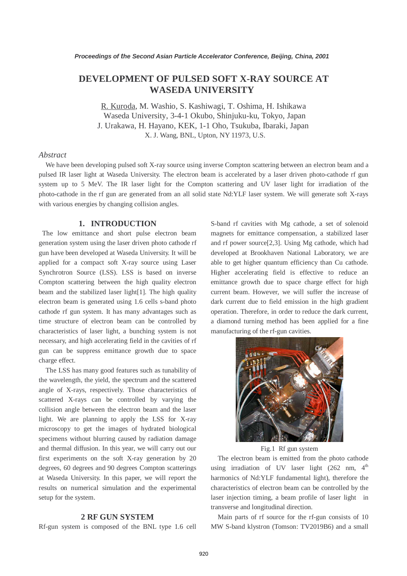# **DEVELOPMENT OF PULSED SOFT X-RAY SOURCE AT WASEDA UNIVERSITY**

R. Kuroda, M. Washio, S. Kashiwagi, T. Oshima, H. Ishikawa Waseda University, 3-4-1 Okubo, Shinjuku-ku, Tokyo, Japan J. Urakawa, H. Hayano, KEK, 1-1 Oho, Tsukuba, Ibaraki, Japan X. J. Wang, BNL, Upton, NY 11973, U.S.

# *Abstract*

We have been developing pulsed soft X-ray source using inverse Compton scattering between an electron beam and a pulsed IR laser light at Waseda University. The electron beam is accelerated by a laser driven photo-cathode rf gun system up to 5 MeV. The IR laser light for the Compton scattering and UV laser light for irradiation of the photo-cathode in the rf gun are generated from an all solid state Nd:YLF laser system. We will generate soft X-rays with various energies by changing collision angles.

#### **1. INTRODUCTION**

 The low emittance and short pulse electron beam generation system using the laser driven photo cathode rf gun have been developed at Waseda University. It will be applied for a compact soft X-ray source using Laser Synchrotron Source (LSS). LSS is based on inverse Compton scattering between the high quality electron beam and the stabilized laser light[1]. The high quality electron beam is generated using 1.6 cells s-band photo cathode rf gun system. It has many advantages such as time structure of electron beam can be controlled by characteristics of laser light, a bunching system is not necessary, and high accelerating field in the cavities of rf gun can be suppress emittance growth due to space charge effect.

The LSS has many good features such as tunability of the wavelength, the yield, the spectrum and the scattered angle of X-rays, respectively. Those characteristics of scattered X-rays can be controlled by varying the collision angle between the electron beam and the laser light. We are planning to apply the LSS for X-ray microscopy to get the images of hydrated biological specimens without blurring caused by radiation damage and thermal diffusion. In this year, we will carry out our first experiments on the soft X-ray generation by 20 degrees, 60 degrees and 90 degrees Compton scatterings at Waseda University. In this paper, we will report the results on numerical simulation and the experimental setup for the system.

# **2 RF GUN SYSTEM**

Rf-gun system is composed of the BNL type 1.6 cell

S-band rf cavities with Mg cathode, a set of solenoid magnets for emittance compensation, a stabilized laser and rf power source[2,3]. Using Mg cathode, which had developed at Brookhaven National Laboratory, we are able to get higher quantum efficiency than Cu cathode. Higher accelerating field is effective to reduce an emittance growth due to space charge effect for high current beam. However, we will suffer the increase of dark current due to field emission in the high gradient operation. Therefore, in order to reduce the dark current, a diamond turning method has been applied for a fine manufacturing of the rf-gun cavities.



Fig.1 Rf gun system

The electron beam is emitted from the photo cathode using irradiation of UV laser light  $(262 \text{ nm}, 4^{\text{th}})$ harmonics of Nd:YLF fundamental light), therefore the characteristics of electron beam can be controlled by the laser injection timing, a beam profile of laser light in transverse and longitudinal direction.

Main parts of rf source for the rf-gun consists of 10 MW S-band klystron (Tomson: TV2019B6) and a small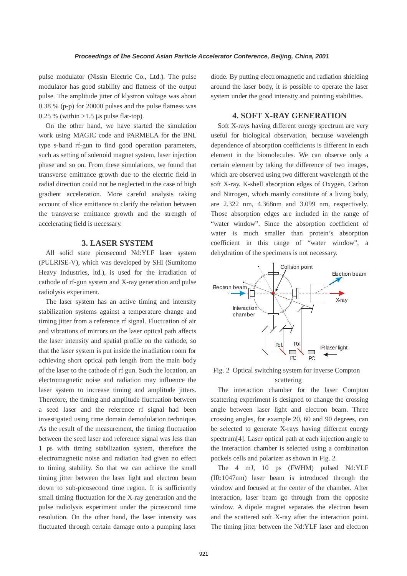pulse modulator (Nissin Electric Co., Ltd.). The pulse modulator has good stability and flatness of the output pulse. The amplitude jitter of klystron voltage was about 0.38 % (p-p) for 20000 pulses and the pulse flatness was  $0.25\%$  (within > 1.5 µs pulse flat-top).

On the other hand, we have started the simulation work using MAGIC code and PARMELA for the BNL type s-band rf-gun to find good operation parameters, such as setting of solenoid magnet system, laser injection phase and so on. From these simulations, we found that transverse emittance growth due to the electric field in radial direction could not be neglected in the case of high gradient acceleration. More careful analysis taking account of slice emittance to clarify the relation between the transverse emittance growth and the strength of accelerating field is necessary.

#### **3. LASER SYSTEM**

 All solid state picosecond Nd:YLF laser system (PULRISE-V), which was developed by SHI (Sumitomo Heavy Industries, ltd.), is used for the irradiation of cathode of rf-gun system and X-ray generation and pulse radiolysis experiment.

The laser system has an active timing and intensity stabilization systems against a temperature change and timing jitter from a reference rf signal. Fluctuation of air and vibrations of mirrors on the laser optical path affects the laser intensity and spatial profile on the cathode, so that the laser system is put inside the irradiation room for achieving short optical path length from the main body of the laser to the cathode of rf gun. Such the location, an electromagnetic noise and radiation may influence the laser system to increase timing and amplitude jitters. Therefore, the timing and amplitude fluctuation between a seed laser and the reference rf signal had been investigated using time domain demodulation technique. As the result of the measurement, the timing fluctuation between the seed laser and reference signal was less than 1 ps with timing stabilization system, therefore the electromagnetic noise and radiation had given no effect to timing stability. So that we can achieve the small timing jitter between the laser light and electron beam down to sub-picosecond time region. It is sufficiently small timing fluctuation for the X-ray generation and the pulse radiolysis experiment under the picosecond time resolution. On the other hand, the laser intensity was fluctuated through certain damage onto a pumping laser

diode. By putting electromagnetic and radiation shielding around the laser body, it is possible to operate the laser system under the good intensity and pointing stabilities.

## **4. SOFT X-RAY GENERATION**

Soft X-rays having different energy spectrum are very useful for biological observation, because wavelength dependence of absorption coefficients is different in each element in the biomolecules. We can observe only a certain element by taking the difference of two images, which are observed using two different wavelength of the soft X-ray. K-shell absorption edges of Oxygen, Carbon and Nitrogen, which mainly constitute of a living body, are 2.322 nm, 4.368nm and 3.099 nm, respectively. Those absorption edges are included in the range of "water window". Since the absorption coefficient of water is much smaller than protein's absorption coefficient in this range of "water window", a dehydration of the specimens is not necessary.



Fig. 2 Optical switching system for inverse Compton scattering

The interaction chamber for the laser Compton scattering experiment is designed to change the crossing angle between laser light and electron beam. Three crossing angles, for example 20, 60 and 90 degrees, can be selected to generate X-rays having different energy spectrum[4]. Laser optical path at each injection angle to the interaction chamber is selected using a combination pockels cells and polarizer as shown in Fig. 2.

The 4 mJ, 10 ps (FWHM) pulsed Nd:YLF (IR:1047nm) laser beam is introduced through the window and focused at the center of the chamber. After interaction, laser beam go through from the opposite window. A dipole magnet separates the electron beam and the scattered soft X-ray after the interaction point. The timing jitter between the Nd:YLF laser and electron